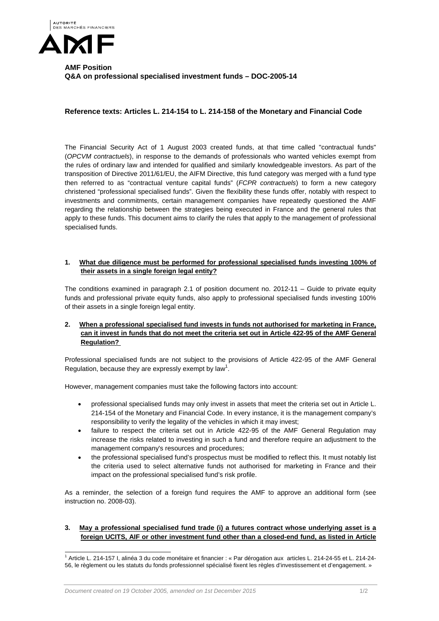

# **AMF Position Q&A on professional specialised investment funds – DOC-2005-14**

## **Reference texts: Articles L. 214-154 to L. 214-158 of the Monetary and Financial Code**

The Financial Security Act of 1 August 2003 created funds, at that time called "contractual funds" (*OPCVM contractuels*), in response to the demands of professionals who wanted vehicles exempt from the rules of ordinary law and intended for qualified and similarly knowledgeable investors. As part of the transposition of Directive 2011/61/EU, the AIFM Directive, this fund category was merged with a fund type then referred to as "contractual venture capital funds" (*FCPR contractuels*) to form a new category christened "professional specialised funds". Given the flexibility these funds offer, notably with respect to investments and commitments, certain management companies have repeatedly questioned the AMF regarding the relationship between the strategies being executed in France and the general rules that apply to these funds. This document aims to clarify the rules that apply to the management of professional specialised funds.

#### **1. What due diligence must be performed for professional specialised funds investing 100% of their assets in a single foreign legal entity?**

The conditions examined in paragraph 2.1 of position document no. 2012-11 – Guide to private equity funds and professional private equity funds, also apply to professional specialised funds investing 100% of their assets in a single foreign legal entity.

## **2. When a professional specialised fund invests in funds not authorised for marketing in France, can it invest in funds that do not meet the criteria set out in Article 422-95 of the AMF General Regulation?**

Professional specialised funds are not subject to the provisions of Article 422-95 of the AMF General Regulation, because they are expressly exempt by law<sup>1</sup>.

However, management companies must take the following factors into account:

- professional specialised funds may only invest in assets that meet the criteria set out in Article L. 214-154 of the Monetary and Financial Code. In every instance, it is the management company's responsibility to verify the legality of the vehicles in which it may invest;
- failure to respect the criteria set out in Article 422-95 of the AMF General Regulation may increase the risks related to investing in such a fund and therefore require an adjustment to the management company's resources and procedures;
- the professional specialised fund's prospectus must be modified to reflect this. It must notably list the criteria used to select alternative funds not authorised for marketing in France and their impact on the professional specialised fund's risk profile.

As a reminder, the selection of a foreign fund requires the AMF to approve an additional form (see instruction no. 2008-03).

#### **3. May a professional specialised fund trade (i) a futures contract whose underlying asset is a foreign UCITS, AIF or other investment fund other than a closed-end fund, as listed in Article**

 1 Article L. 214-157 I, alinéa 3 du code monétaire et financier : « Par dérogation aux articles L. 214-24-55 et L. 214-24- 56, le règlement ou les statuts du fonds professionnel spécialisé fixent les règles d'investissement et d'engagement. »